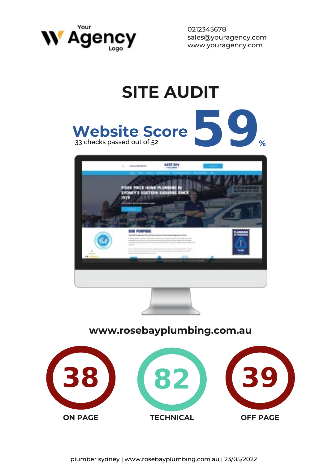

# **SITE AUDIT** Website Score **59** 8 **Website Score DIAMETR** FIXED PINCE HOME PUL **403 203228**

#### **www.rosebayplumbing.com.au**

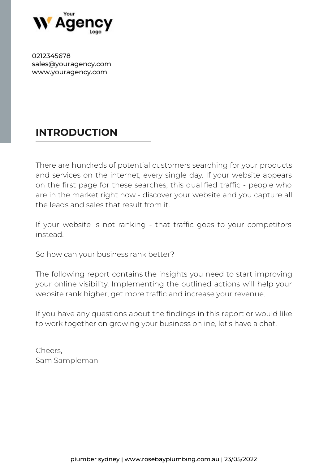

# **INTRODUCTION**

There are hundreds of potential customers searching for your products and services on the internet, every single day. If your website appears on the first page for these searches, this qualified traffic - people who are in the market right now - discover your website and you capture all the leads and sales that result from it.

If your website is not ranking - that traffic goes to your competitors instead.

So how can your business rank better?

The following report contains the insights you need to start improving your online visibility. Implementing the outlined actions will help your website rank higher, get more traffic and increase your revenue.

If you have any questions about the findings in this report or would like to work together on growing your business online, let's have a chat.

Cheers, Sam Sampleman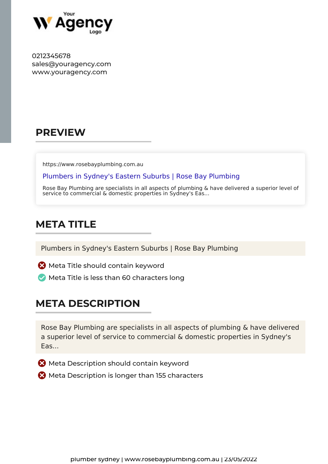

#### **PREVIEW**

https://www.rosebayplumbing.com.au

Plumbers in Sydney's Eastern Suburbs | Rose Bay Plumbing

Rose Bay Plumbing are specialists in all aspects of plumbing & have delivered a superior level of service to commercial & domestic properties in Sydney's Eas...

# **META TITLE**

Plumbers in Sydney's Eastern Suburbs | Rose Bay Plumbing

- **X** Meta Title should contain keyword
- $\blacktriangleright$  Meta Title is less than 60 characters long

#### **META DESCRIPTION**

Rose Bay Plumbing are specialists in all aspects of plumbing & have delivered a superior level of service to commercial & domestic properties in Sydney's Eas...

- **X** Meta Description should contain keyword
- **X** Meta Description is longer than 155 characters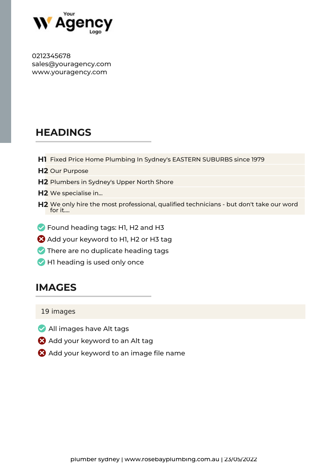

# **HEADINGS**

- **H1** Fixed Price Home Plumbing In Sydney's EASTERN SUBURBS since 1979
- **H2** Our Purpose
- **H2** Plumbers in Sydney's Upper North Shore
- **H2** We specialise in...
- **H2** We only hire the most professional, qualified technicians but don't take our word for it....
- **S** Found heading tags: H1, H2 and H3
- Add your keyword to H1, H2 or H3 tag
- $\vee$  There are no duplicate heading tags
- H1 heading is used only once

#### **IMAGES**

19 images

- All images have Alt tags
- Add your keyword to an Alt tag
- Add your keyword to an image file name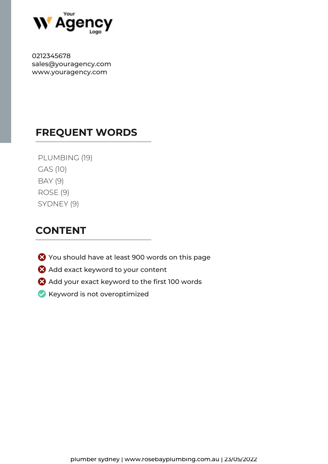

#### **FREQUENT WORDS**

| PLUMBING (19) |
|---------------|
| GAS (10)      |
| BAY (9)       |
| ROSE (9)      |
| SYDNEY (9)    |

#### **CONTENT**

- You should have at least 900 words on this page
- Add exact keyword to your content
- Add your exact keyword to the first 100 words
- Keyword is not overoptimized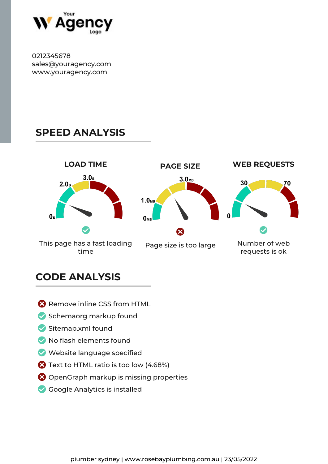

#### **SPEED ANALYSIS**



#### **CODE ANALYSIS**

- **Remove inline CSS from HTML**
- Schemaorg markup found
- $\vee$  Sitemap.xml found
- $\vee$  No flash elements found
- Website language specified
- **2** Text to HTML ratio is too low (4.68%)
- **8** OpenGraph markup is missing properties
- Google Analytics is installed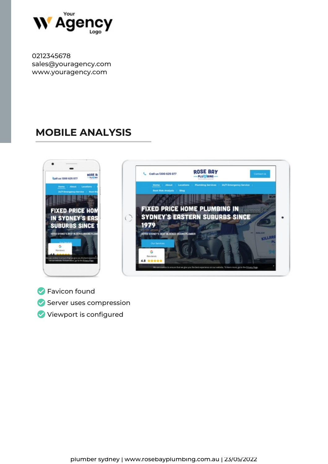

# **MOBILE ANALYSIS**





**S** Favicon found Server uses compression Viewport is configured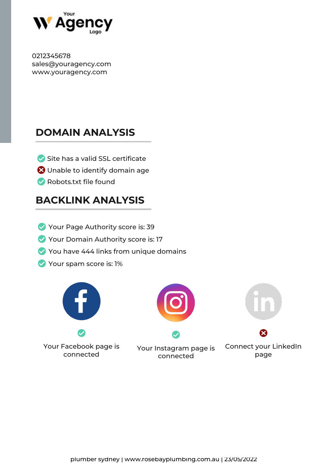

# **DOMAIN ANALYSIS**

- $\blacktriangleright$  Site has a valid SSL certificate
- Unable to identify domain age
- Robots.txt file found

# **BACKLINK ANALYSIS**

- Your Page Authority score is: 39
- Your Domain Authority score is: 17
- You have 444 links from unique domains
- Your spam score is: 1%



Your Facebook page is connected



Your Instagram page is connected



Connect your LinkedIn page